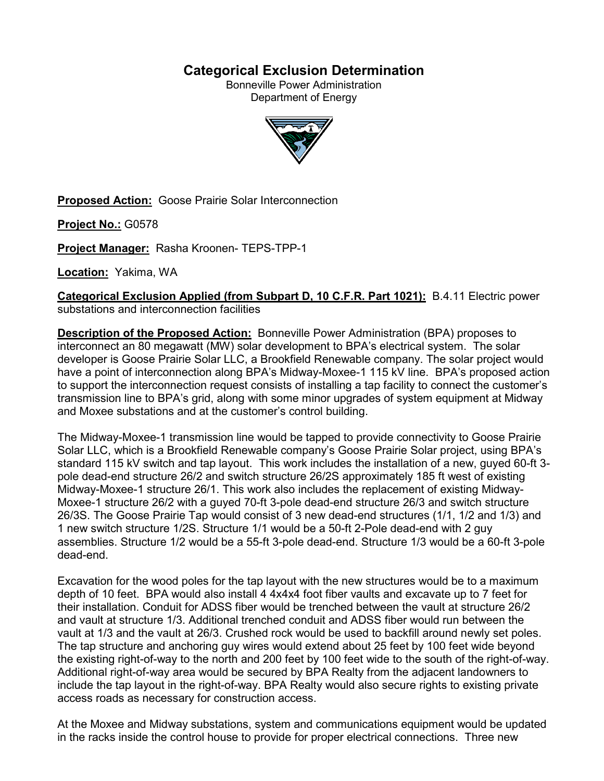# **Categorical Exclusion Determination**

Bonneville Power Administration Department of Energy



**Proposed Action:** Goose Prairie Solar Interconnection

**Project No.:** G0578

**Project Manager:** Rasha Kroonen- TEPS-TPP-1

**Location:** Yakima, WA

**Categorical Exclusion Applied (from Subpart D, 10 C.F.R. Part 1021):** B.4.11 Electric power substations and interconnection facilities

**Description of the Proposed Action:** Bonneville Power Administration (BPA) proposes to interconnect an 80 megawatt (MW) solar development to BPA's electrical system. The solar developer is Goose Prairie Solar LLC, a Brookfield Renewable company. The solar project would have a point of interconnection along BPA's Midway-Moxee-1 115 kV line. BPA's proposed action to support the interconnection request consists of installing a tap facility to connect the customer's transmission line to BPA's grid, along with some minor upgrades of system equipment at Midway and Moxee substations and at the customer's control building.

The Midway-Moxee-1 transmission line would be tapped to provide connectivity to Goose Prairie Solar LLC, which is a Brookfield Renewable company's Goose Prairie Solar project, using BPA's standard 115 kV switch and tap layout. This work includes the installation of a new, guyed 60-ft 3 pole dead-end structure 26/2 and switch structure 26/2S approximately 185 ft west of existing Midway-Moxee-1 structure 26/1. This work also includes the replacement of existing Midway-Moxee-1 structure 26/2 with a guyed 70-ft 3-pole dead-end structure 26/3 and switch structure 26/3S. The Goose Prairie Tap would consist of 3 new dead-end structures (1/1, 1/2 and 1/3) and 1 new switch structure 1/2S. Structure 1/1 would be a 50-ft 2-Pole dead-end with 2 guy assemblies. Structure 1/2 would be a 55-ft 3-pole dead-end. Structure 1/3 would be a 60-ft 3-pole dead-end.

Excavation for the wood poles for the tap layout with the new structures would be to a maximum depth of 10 feet. BPA would also install 4 4x4x4 foot fiber vaults and excavate up to 7 feet for their installation. Conduit for ADSS fiber would be trenched between the vault at structure 26/2 and vault at structure 1/3. Additional trenched conduit and ADSS fiber would run between the vault at 1/3 and the vault at 26/3. Crushed rock would be used to backfill around newly set poles. The tap structure and anchoring guy wires would extend about 25 feet by 100 feet wide beyond the existing right-of-way to the north and 200 feet by 100 feet wide to the south of the right-of-way. Additional right-of-way area would be secured by BPA Realty from the adjacent landowners to include the tap layout in the right-of-way. BPA Realty would also secure rights to existing private access roads as necessary for construction access.

At the Moxee and Midway substations, system and communications equipment would be updated in the racks inside the control house to provide for proper electrical connections. Three new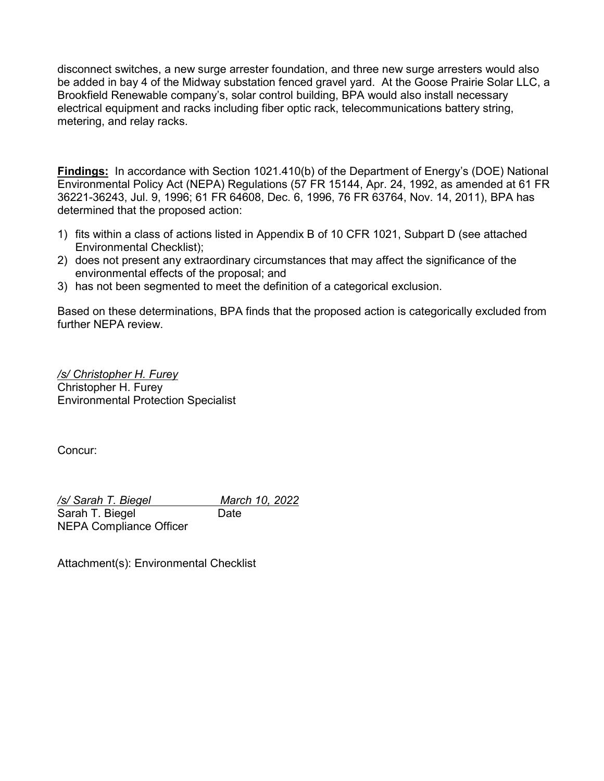disconnect switches, a new surge arrester foundation, and three new surge arresters would also be added in bay 4 of the Midway substation fenced gravel yard. At the Goose Prairie Solar LLC, a Brookfield Renewable company's, solar control building, BPA would also install necessary electrical equipment and racks including fiber optic rack, telecommunications battery string, metering, and relay racks.

**Findings:** In accordance with Section 1021.410(b) of the Department of Energy's (DOE) National Environmental Policy Act (NEPA) Regulations (57 FR 15144, Apr. 24, 1992, as amended at 61 FR 36221-36243, Jul. 9, 1996; 61 FR 64608, Dec. 6, 1996, 76 FR 63764, Nov. 14, 2011), BPA has determined that the proposed action:

- 1) fits within a class of actions listed in Appendix B of 10 CFR 1021, Subpart D (see attached Environmental Checklist);
- 2) does not present any extraordinary circumstances that may affect the significance of the environmental effects of the proposal; and
- 3) has not been segmented to meet the definition of a categorical exclusion.

Based on these determinations, BPA finds that the proposed action is categorically excluded from further NEPA review.

*/s/ Christopher H. Furey* Christopher H. Furey Environmental Protection Specialist

Concur:

*/s/ Sarah T. Biegel March 10, 2022* Sarah T. Biegel Date NEPA Compliance Officer

Attachment(s): Environmental Checklist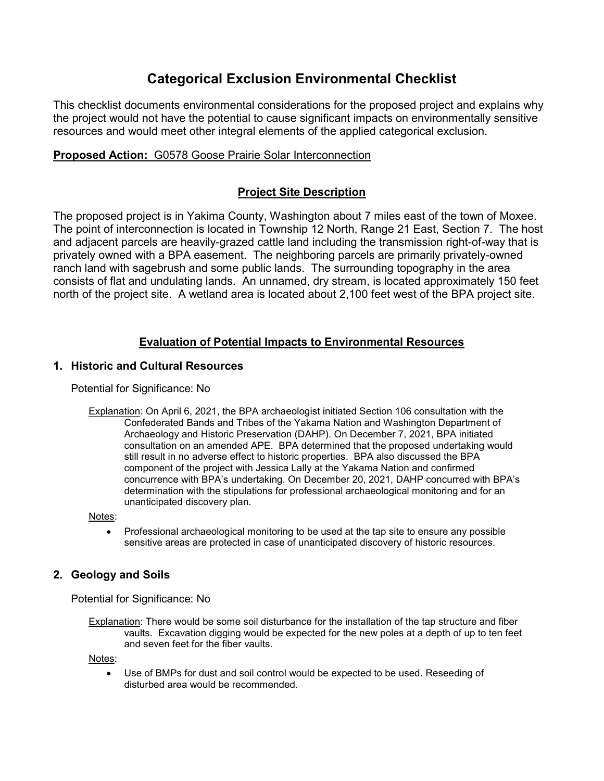# **Categorical Exclusion Environmental Checklist**

This checklist documents environmental considerations for the proposed project and explains why the project would not have the potential to cause significant impacts on environmentally sensitive resources and would meet other integral elements of the applied categorical exclusion.

## **Proposed Action:** G0578 Goose Prairie Solar Interconnection

## **Project Site Description**

The proposed project is in Yakima County, Washington about 7 miles east of the town of Moxee. The point of interconnection is located in Township 12 North, Range 21 East, Section 7. The host and adjacent parcels are heavily-grazed cattle land including the transmission right-of-way that is privately owned with a BPA easement. The neighboring parcels are primarily privately-owned ranch land with sagebrush and some public lands. The surrounding topography in the area consists of flat and undulating lands. An unnamed, dry stream, is located approximately 150 feet north of the project site. A wetland area is located about 2,100 feet west of the BPA project site.

## **Evaluation of Potential Impacts to Environmental Resources**

# **1. Historic and Cultural Resources**

Potential for Significance: No

Explanation: On April 6, 2021, the BPA archaeologist initiated Section 106 consultation with the Confederated Bands and Tribes of the Yakama Nation and Washington Department of Archaeology and Historic Preservation (DAHP). On December 7, 2021, BPA initiated consultation on an amended APE. BPA determined that the proposed undertaking would still result in no adverse effect to historic properties. BPA also discussed the BPA component of the project with Jessica Lally at the Yakama Nation and confirmed concurrence with BPA's undertaking. On December 20, 2021, DAHP concurred with BPA's determination with the stipulations for professional archaeological monitoring and for an unanticipated discovery plan.

Notes:

• Professional archaeological monitoring to be used at the tap site to ensure any possible sensitive areas are protected in case of unanticipated discovery of historic resources.

## **2. Geology and Soils**

Potential for Significance: No

Explanation: There would be some soil disturbance for the installation of the tap structure and fiber vaults. Excavation digging would be expected for the new poles at a depth of up to ten feet and seven feet for the fiber vaults.

Notes:

• Use of BMPs for dust and soil control would be expected to be used. Reseeding of disturbed area would be recommended.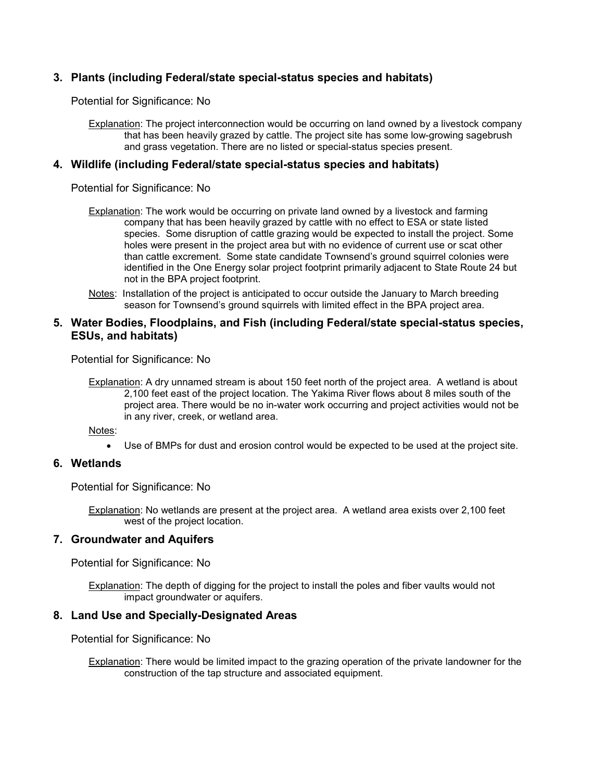## **3. Plants (including Federal/state special-status species and habitats)**

Potential for Significance: No

Explanation: The project interconnection would be occurring on land owned by a livestock company that has been heavily grazed by cattle. The project site has some low-growing sagebrush and grass vegetation. There are no listed or special-status species present.

## **4. Wildlife (including Federal/state special-status species and habitats)**

Potential for Significance: No

- Explanation: The work would be occurring on private land owned by a livestock and farming company that has been heavily grazed by cattle with no effect to ESA or state listed species. Some disruption of cattle grazing would be expected to install the project. Some holes were present in the project area but with no evidence of current use or scat other than cattle excrement. Some state candidate Townsend's ground squirrel colonies were identified in the One Energy solar project footprint primarily adjacent to State Route 24 but not in the BPA project footprint.
- Notes: Installation of the project is anticipated to occur outside the January to March breeding season for Townsend's ground squirrels with limited effect in the BPA project area.

### **5. Water Bodies, Floodplains, and Fish (including Federal/state special-status species, ESUs, and habitats)**

Potential for Significance: No

Explanation: A dry unnamed stream is about 150 feet north of the project area. A wetland is about 2,100 feet east of the project location. The Yakima River flows about 8 miles south of the project area. There would be no in-water work occurring and project activities would not be in any river, creek, or wetland area.

Notes:

• Use of BMPs for dust and erosion control would be expected to be used at the project site.

## **6. Wetlands**

Potential for Significance: No

Explanation: No wetlands are present at the project area. A wetland area exists over 2,100 feet west of the project location.

#### **7. Groundwater and Aquifers**

Potential for Significance: No

**Explanation:** The depth of digging for the project to install the poles and fiber vaults would not impact groundwater or aquifers.

#### **8. Land Use and Specially-Designated Areas**

Potential for Significance: No

Explanation: There would be limited impact to the grazing operation of the private landowner for the construction of the tap structure and associated equipment.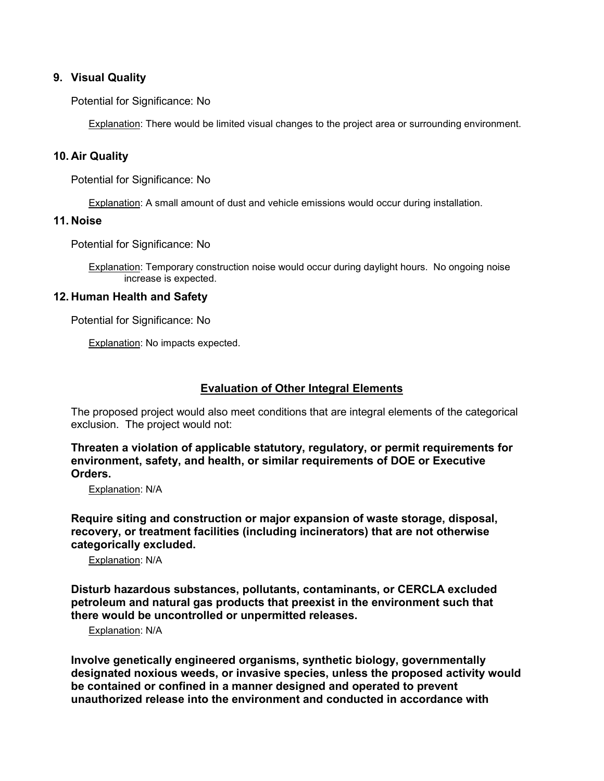## **9. Visual Quality**

Potential for Significance: No

Explanation: There would be limited visual changes to the project area or surrounding environment.

#### **10. Air Quality**

Potential for Significance: No

Explanation: A small amount of dust and vehicle emissions would occur during installation.

#### **11. Noise**

Potential for Significance: No

Explanation: Temporary construction noise would occur during daylight hours. No ongoing noise increase is expected.

#### **12. Human Health and Safety**

Potential for Significance: No

Explanation: No impacts expected.

### **Evaluation of Other Integral Elements**

The proposed project would also meet conditions that are integral elements of the categorical exclusion. The project would not:

**Threaten a violation of applicable statutory, regulatory, or permit requirements for environment, safety, and health, or similar requirements of DOE or Executive Orders.**

Explanation: N/A

**Require siting and construction or major expansion of waste storage, disposal, recovery, or treatment facilities (including incinerators) that are not otherwise categorically excluded.**

Explanation: N/A

**Disturb hazardous substances, pollutants, contaminants, or CERCLA excluded petroleum and natural gas products that preexist in the environment such that there would be uncontrolled or unpermitted releases.**

Explanation: N/A

**Involve genetically engineered organisms, synthetic biology, governmentally designated noxious weeds, or invasive species, unless the proposed activity would be contained or confined in a manner designed and operated to prevent unauthorized release into the environment and conducted in accordance with**